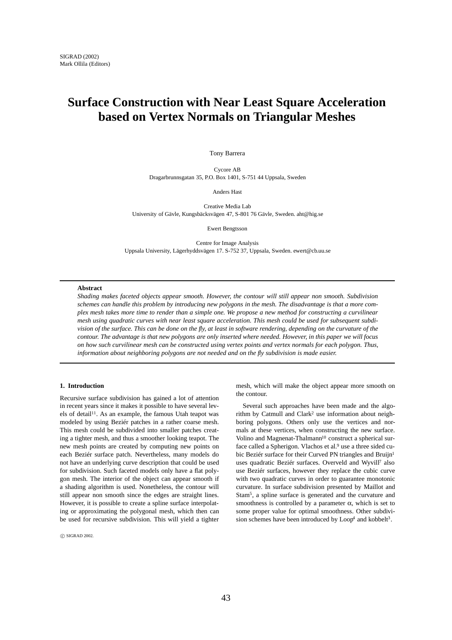# **Surface Construction with Near Least Square Acceleration based on Vertex Normals on Triangular Meshes**

Tony Barrera

Cycore AB Dragarbrunnsgatan 35, P.O. Box 1401, S-751 44 Uppsala, Sweden

Anders Hast

Creative Media Lab University of Gävle, Kungsbäcksvägen 47, S-801 76 Gävle, Sweden. aht@hig.se

Ewert Bengtsson

Centre for Image Analysis Uppsala University, Lägerhyddsvägen 17. S-752 37, Uppsala, Sweden. ewert@cb.uu.se

## **Abstract**

*Shading makes faceted objects appear smooth. However, the contour will still appear non smooth. Subdivision schemes can handle this problem by introducing new polygons in the mesh. The disadvantage is that a more complex mesh takes more time to render than a simple one. We propose a new method for constructing a curvilinear mesh using quadratic curves with near least square acceleration. This mesh could be used for subsequent subdivision of the surface. This can be done on the fly, at least in software rendering, depending on the curvature of the contour. The advantage is that new polygons are only inserted where needed. However, in this paper we will focus on how such curvilinear mesh can be constructed using vertex points and vertex normals for each polygon. Thus, information about neighboring polygons are not needed and on the fly subdivision is made easier.*

## **1. Introduction**

Recursive surface subdivision has gained a lot of attention in recent years since it makes it possible to have several levels of detail<sup>11</sup>. As an example, the famous Utah teapot was modeled by using Beziér patches in a rather coarse mesh. This mesh could be subdivided into smaller patches creating a tighter mesh, and thus a smoother looking teapot. The new mesh points are created by computing new points on each Beziér surface patch. Nevertheless, many models do not have an underlying curve description that could be used for subdivision. Such faceted models only have a flat polygon mesh. The interior of the object can appear smooth if a shading algorithm is used. Nonetheless, the contour will still appear non smooth since the edges are straight lines. However, it is possible to create a spline surface interpolating or approximating the polygonal mesh, which then can be used for recursive subdivision. This will yield a tighter

 $\circledcirc$  SIGRAD 2002.

mesh, which will make the object appear more smooth on the contour.

Several such approaches have been made and the algorithm by Catmull and Clark<sup>2</sup> use information about neighboring polygons. Others only use the vertices and normals at these vertices, when constructing the new surface. Volino and Magnenat-Thalmann<sup>10</sup> construct a spherical surface called a Spherigon. Vlachos et al.<sup>9</sup> use a three sided cubic Beziér surface for their Curved PN triangles and Bruijn<sup>1</sup> uses quadratic Beziér surfaces. Overveld and Wyvill7 also use Beziér surfaces, however they replace the cubic curve with two quadratic curves in order to guarantee monotonic curvature. In surface subdivision presented by Maillot and Stam5, a spline surface is generated and the curvature and smoothness is controlled by a parameter  $\alpha$ , which is set to some proper value for optimal smoothness. Other subdivision schemes have been introduced by Loop<sup>4</sup> and kobbelt<sup>3</sup>.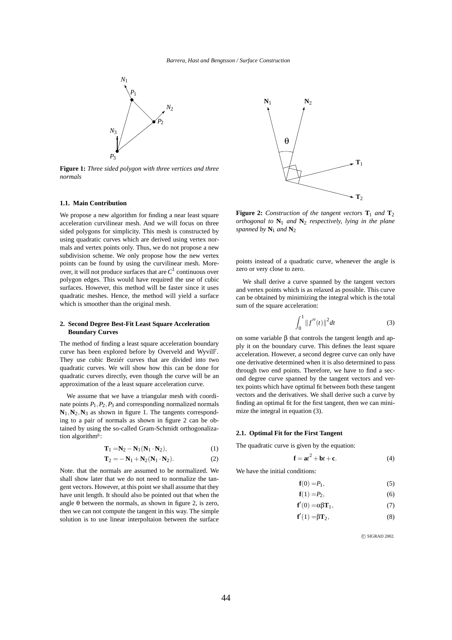

**Figure 1:** *Three sided polygon with three vertices and three normals*

## **1.1. Main Contribution**

We propose a new algorithm for finding a near least square acceleration curvilinear mesh. And we will focus on three sided polygons for simplicity. This mesh is constructed by using quadratic curves which are derived using vertex normals and vertex points only. Thus, we do not propose a new subdivision scheme. We only propose how the new vertex points can be found by using the curvilinear mesh. Moreover, it will not produce surfaces that are  $C<sup>1</sup>$  continuous over polygon edges. This would have required the use of cubic surfaces. However, this method will be faster since it uses quadratic meshes. Hence, the method will yield a surface which is smoother than the original mesh.

#### **2. Second Degree Best-Fit Least Square Acceleration Boundary Curves**

The method of finding a least square acceleration boundary curve has been explored before by Overveld and Wyvill7. They use cubic Beziér curves that are divided into two quadratic curves. We will show how this can be done for quadratic curves directly, even though the curve will be an approximation of the a least square acceleration curve.

We assume that we have a triangular mesh with coordinate points  $P_1$ ,  $P_2$ ,  $P_3$  and corresponding normalized normals  $N_1$ ,  $N_2$ ,  $N_3$  as shown in figure 1. The tangents corresponding to a pair of normals as shown in figure 2 can be obtained by using the so-called Gram-Schmidt orthogonalization algorithm<sup>6</sup>:

$$
\mathbf{T}_1 = \mathbf{N}_2 - \mathbf{N}_1 (\mathbf{N}_1 \cdot \mathbf{N}_2),\tag{1}
$$

$$
\mathbf{T}_2 = -\mathbf{N}_1 + \mathbf{N}_2 (\mathbf{N}_1 \cdot \mathbf{N}_2). \tag{2}
$$

Note. that the normals are assumed to be normalized. We shall show later that we do not need to normalize the tangent vectors. However, at this point we shall assume that they have unit length. It should also be pointed out that when the angle  $\theta$  between the normals, as shown in figure 2, is zero, then we can not compute the tangent in this way. The simple solution is to use linear interpoltaion between the surface



**Figure 2:** *Construction of the tangent vectors*  $\mathbf{T}_1$  *and*  $\mathbf{T}_2$ *orthogonal to* **N**<sup>1</sup> *and* **N**<sup>2</sup> *respectively, lying in the plane spanned by*  $N_1$  *and*  $N_2$ 

points instead of a quadratic curve, whenever the angle is zero or very close to zero.

We shall derive a curve spanned by the tangent vectors and vertex points which is as relaxed as possible. This curve can be obtained by minimizing the integral which is the total sum of the square acceleration:

$$
\int_0^1 \|f''(t)\|^2 dt
$$
 (3)

on some variable β that controls the tangent length and apply it on the boundary curve. This defines the least square acceleration. However, a second degree curve can only have one derivative determined when it is also determined to pass through two end points. Therefore, we have to find a second degree curve spanned by the tangent vectors and vertex points which have optimal fit between both these tangent vectors and the derivatives. We shall derive such a curve by finding an optimal fit for the first tangent, then we can minimize the integral in equation (3).

#### **2.1. Optimal Fit for the First Tangent**

The quadratic curve is given by the equation:

$$
\mathbf{f} = \mathbf{a}t^2 + \mathbf{b}t + \mathbf{c}.\tag{4}
$$

We have the initial conditions:

$$
\mathbf{f}(0) = P_1,\tag{5}
$$

$$
\mathbf{f}(1) = P_2,\tag{6}
$$

$$
\mathbf{f}'(0) = \alpha \beta \mathbf{T}_1,\tag{7}
$$

$$
\mathbf{f}'(1) = \beta \mathbf{T}_2,\tag{8}
$$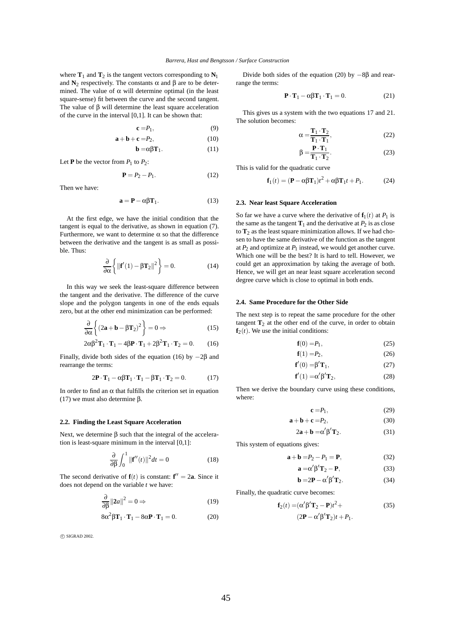where  $\mathbf{T}_1$  and  $\mathbf{T}_2$  is the tangent vectors corresponding to  $\mathbf{N}_1$ and  $\mathbf{N}_2$  respectively. The constants  $\alpha$  and  $\beta$  are to be determined. The value of  $\alpha$  will determine optimal (in the least square-sense) fit between the curve and the second tangent. The value of  $β$  will determine the least square acceleration of the curve in the interval [0,1]. It can be shown that:

$$
\mathbf{c} = P_1,\tag{9}
$$

$$
\mathbf{a} + \mathbf{b} + \mathbf{c} = P_2,\tag{10}
$$

$$
\mathbf{b} = \alpha \beta \mathbf{T}_1. \tag{11}
$$

Let **P** be the vector from  $P_1$  to  $P_2$ :

$$
\mathbf{P} = P_2 - P_1. \tag{12}
$$

Then we have:

$$
\mathbf{a} = \mathbf{P} - \alpha \beta \mathbf{T}_1. \tag{13}
$$

At the first edge, we have the initial condition that the tangent is equal to the derivative, as shown in equation (7). Furthermore, we want to determine  $\alpha$  so that the difference between the derivative and the tangent is as small as possible. Thus:

$$
\frac{\partial}{\partial \alpha} \left\{ \left\| \mathbf{f}'(1) - \beta \mathbf{T}_2 \right\|^2 \right\} = 0. \tag{14}
$$

In this way we seek the least-square difference between the tangent and the derivative. The difference of the curve slope and the polygon tangents in one of the ends equals zero, but at the other end minimization can be performed:

$$
\frac{\partial}{\partial \alpha} \left\{ (2\mathbf{a} + \mathbf{b} - \beta \mathbf{T}_2)^2 \right\} = 0 \Rightarrow \tag{15}
$$

$$
2\alpha\beta^2\mathbf{T}_1\cdot\mathbf{T}_1 - 4\beta\mathbf{P}\cdot\mathbf{T}_1 + 2\beta^2\mathbf{T}_1\cdot\mathbf{T}_2 = 0.
$$
 (16)

Finally, divide both sides of the equation (16) by  $-2\beta$  and rearrange the terms:

$$
2\mathbf{P} \cdot \mathbf{T}_1 - \alpha \beta \mathbf{T}_1 \cdot \mathbf{T}_1 - \beta \mathbf{T}_1 \cdot \mathbf{T}_2 = 0. \tag{17}
$$

In order to find an  $\alpha$  that fulfills the criterion set in equation (17) we must also determine β.

#### **2.2. Finding the Least Square Acceleration**

Next, we determine β such that the integral of the acceleration is least-square minimum in the interval [0,1]:

$$
\frac{\partial}{\partial \beta} \int_0^1 ||\mathbf{f}''(t)||^2 dt = 0 \tag{18}
$$

The second derivative of  $f(t)$  is constant:  $f'' = 2a$ . Since it does not depend on the variable *t* we have:

$$
\frac{\partial}{\partial \beta} ||2a||^2 = 0 \Rightarrow \tag{19}
$$

$$
8\alpha^2\beta\mathbf{T}_1\cdot\mathbf{T}_1 - 8\alpha\mathbf{P}\cdot\mathbf{T}_1 = 0. \tag{20}
$$

 $\circ$  SIGRAD 2002.

Divide both sides of the equation (20) by  $-8\beta$  and rearrange the terms:

$$
\mathbf{P} \cdot \mathbf{T}_1 - \alpha \beta \mathbf{T}_1 \cdot \mathbf{T}_1 = 0. \tag{21}
$$

This gives us a system with the two equations 17 and 21. The solution becomes:

$$
\alpha = \frac{\mathbf{T}_1 \cdot \mathbf{T}_2}{\mathbf{T}_1 \cdot \mathbf{T}_1},\tag{22}
$$

$$
\beta = \frac{\mathbf{P} \cdot \mathbf{T}_1}{\mathbf{T}_1 \cdot \mathbf{T}_2}.
$$
 (23)

This is valid for the quadratic curve

$$
\mathbf{f}_1(t) = (\mathbf{P} - \alpha \beta \mathbf{T}_1)t^2 + \alpha \beta \mathbf{T}_1 t + P_1.
$$
 (24)

## **2.3. Near least Square Acceleration**

So far we have a curve where the derivative of  $f_1(t)$  at  $P_1$  is the same as the tangent  $\mathbf{T}_1$  and the derivative at  $P_2$  is as close to  $T_2$  as the least square minimization allows. If we had chosen to have the same derivative of the function as the tangent at  $P_2$  and optimize at  $P_1$  instead, we would get another curve. Which one will be the best? It is hard to tell. However, we could get an approximation by taking the average of both. Hence, we will get an near least square acceleration second degree curve which is close to optimal in both ends.

#### **2.4. Same Procedure for the Other Side**

The next step is to repeat the same procedure for the other tangent  $T_2$  at the other end of the curve, in order to obtain  $f_2(t)$ . We use the initial conditions:

$$
\mathbf{f}(0) = P_1,\tag{25}
$$

$$
\mathbf{f}(1) = P_2,\tag{26}
$$

$$
\mathbf{f}'(0) = \beta' \mathbf{T}_1,\tag{27}
$$

$$
\mathbf{f}'(1) = \alpha' \beta' \mathbf{T}_2,\tag{28}
$$

Then we derive the boundary curve using these conditions, where:

$$
\mathbf{c} = P_1,\tag{29}
$$

$$
\mathbf{a} + \mathbf{b} + \mathbf{c} = P_2,\tag{30}
$$

$$
2\mathbf{a} + \mathbf{b} = \alpha' \beta' \mathbf{T}_2. \tag{31}
$$

This system of equations gives:

$$
\mathbf{a} + \mathbf{b} = P_2 - P_1 = \mathbf{P},\tag{32}
$$

$$
\mathbf{a} = \alpha' \beta' \mathbf{T}_2 - \mathbf{P},\tag{33}
$$

$$
\mathbf{b} = 2\mathbf{P} - \alpha' \beta' \mathbf{T}_2. \tag{34}
$$

Finally, the quadratic curve becomes:

$$
\mathbf{f}_2(t) = (\alpha' \beta' \mathbf{T}_2 - \mathbf{P})t^2 +
$$
  
(2 $\mathbf{P} - \alpha' \beta' \mathbf{T}_2)t + P_1.$  (35)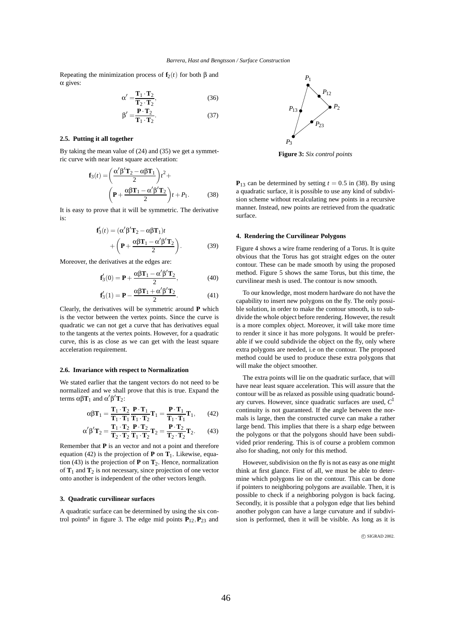Repeating the minimization process of  $f_2(t)$  for both  $\beta$  and α gives:

$$
\alpha' = \frac{\mathbf{T}_1 \cdot \mathbf{T}_2}{\mathbf{T}_2 \cdot \mathbf{T}_2},\tag{36}
$$

$$
\beta' = \frac{\mathbf{P} \cdot \mathbf{T}_2}{\mathbf{T}_1 \cdot \mathbf{T}_2}.
$$
 (37)

## **2.5. Putting it all together**

By taking the mean value of (24) and (35) we get a symmetric curve with near least square acceleration:

$$
\mathbf{f}_3(t) = \left(\frac{\alpha'\beta'\mathbf{T}_2 - \alpha\beta\mathbf{T}_1}{2}\right)t^2 + \left(\mathbf{P} + \frac{\alpha\beta\mathbf{T}_1 - \alpha'\beta'\mathbf{T}_2}{2}\right)t + P_1.
$$
 (38)

It is easy to prove that it will be symmetric. The derivative is:

$$
\mathbf{f}'_3(t) = (\alpha' \beta' \mathbf{T}_2 - \alpha \beta \mathbf{T}_1)t + \left( \mathbf{P} + \frac{\alpha \beta \mathbf{T}_1 - \alpha' \beta' \mathbf{T}_2}{2} \right).
$$
 (39)

Moreover, the derivatives at the edges are:

$$
\mathbf{f}'_3(0) = \mathbf{P} + \frac{\alpha \beta \mathbf{T}_1 - \alpha' \beta' \mathbf{T}_2}{2},\tag{40}
$$

$$
\mathbf{f}'_3(1) = \mathbf{P} - \frac{\alpha \beta \mathbf{T}_1 + \alpha' \beta' \mathbf{T}_2}{2}.
$$
 (41)

Clearly, the derivatives will be symmetric around **P** which is the vector between the vertex points. Since the curve is quadratic we can not get a curve that has derivatives equal to the tangents at the vertex points. However, for a quadratic curve, this is as close as we can get with the least square acceleration requirement.

## **2.6. Invariance with respect to Normalization**

We stated earlier that the tangent vectors do not need to be normalized and we shall prove that this is true. Expand the terms  $\alpha\beta\mathbf{T}_1$  and  $\alpha'\beta'\mathbf{T}_2$ :

$$
\alpha \beta \mathbf{T}_1 = \frac{\mathbf{T}_1 \cdot \mathbf{T}_2}{\mathbf{T}_1 \cdot \mathbf{T}_1} \frac{\mathbf{P} \cdot \mathbf{T}_1}{\mathbf{T}_1 \cdot \mathbf{T}_2} \mathbf{T}_1 = \frac{\mathbf{P} \cdot \mathbf{T}_1}{\mathbf{T}_1 \cdot \mathbf{T}_1} \mathbf{T}_1, \qquad (42)
$$

$$
\alpha'\beta'\mathbf{T}_2 = \frac{\mathbf{T}_1 \cdot \mathbf{T}_2}{\mathbf{T}_2 \cdot \mathbf{T}_2} \frac{\mathbf{P} \cdot \mathbf{T}_2}{\mathbf{T}_1 \cdot \mathbf{T}_2} \mathbf{T}_2 = \frac{\mathbf{P} \cdot \mathbf{T}_2}{\mathbf{T}_2 \cdot \mathbf{T}_2} \mathbf{T}_2. \tag{43}
$$

Remember that **P** is an vector and not a point and therefore equation (42) is the projection of **P** on  $T_1$ . Likewise, equation (43) is the projection of  $P$  on  $T_2$ . Hence, normalization of  $T_1$  and  $T_2$  is not necessary, since projection of one vector onto another is independent of the other vectors length.

#### **3. Quadratic curvilinear surfaces**

A quadratic surface can be determined by using the six control points<sup>8</sup> in figure 3. The edge mid points  $P_{12}$ ,  $P_{23}$  and



**Figure 3:** *Six control points*

 $P_{13}$  can be determined by setting  $t = 0.5$  in (38). By using a quadratic surface, it is possible to use any kind of subdivision scheme without recalculating new points in a recursive manner. Instead, new points are retrieved from the quadratic surface.

#### **4. Rendering the Curvilinear Polygons**

Figure 4 shows a wire frame rendering of a Torus. It is quite obvious that the Torus has got straight edges on the outer contour. These can be made smooth by using the proposed method. Figure 5 shows the same Torus, but this time, the curvilinear mesh is used. The contour is now smooth.

To our knowledge, most modern hardware do not have the capability to insert new polygons on the fly. The only possible solution, in order to make the contour smooth, is to subdivide the whole object before rendering. However, the result is a more complex object. Moreover, it will take more time to render it since it has more polygons. It would be preferable if we could subdivide the object on the fly, only where extra polygons are needed, i.e on the contour. The proposed method could be used to produce these extra polygons that will make the object smoother.

The extra points will lie on the quadratic surface, that will have near least square acceleration. This will assure that the contour will be as relaxed as possible using quadratic boundary curves. However, since quadratic surfaces are used, *C*<sup>1</sup> continuity is not guaranteed. If the angle between the normals is large, then the constructed curve can make a rather large bend. This implies that there is a sharp edge between the polygons or that the polygons should have been subdivided prior rendering. This is of course a problem common also for shading, not only for this method.

However, subdivision on the fly is not as easy as one might think at first glance. First of all, we must be able to determine which polygons lie on the contour. This can be done if pointers to neighboring polygons are available. Then, it is possible to check if a neighboring polygon is back facing. Secondly, it is possible that a polygon edge that lies behind another polygon can have a large curvature and if subdivision is performed, then it will be visible. As long as it is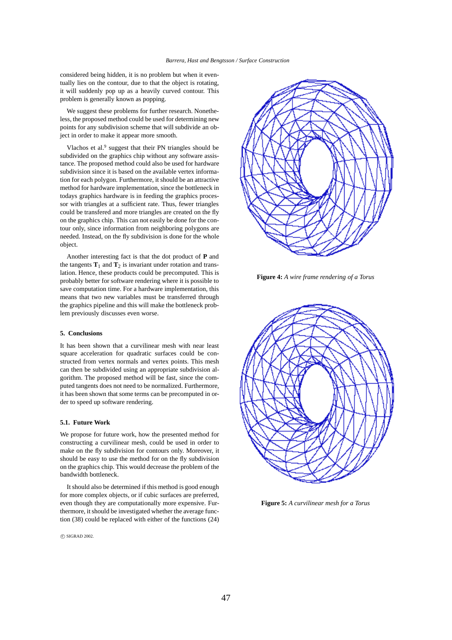considered being hidden, it is no problem but when it eventually lies on the contour, due to that the object is rotating, it will suddenly pop up as a heavily curved contour. This problem is generally known as popping.

We suggest these problems for further research. Nonetheless, the proposed method could be used for determining new points for any subdivision scheme that will subdivide an object in order to make it appear more smooth.

Vlachos et al.<sup>9</sup> suggest that their PN triangles should be subdivided on the graphics chip without any software assistance. The proposed method could also be used for hardware subdivision since it is based on the available vertex information for each polygon. Furthermore, it should be an attractive method for hardware implementation, since the bottleneck in todays graphics hardware is in feeding the graphics processor with triangles at a sufficient rate. Thus, fewer triangles could be transfered and more triangles are created on the fly on the graphics chip. This can not easily be done for the contour only, since information from neighboring polygons are needed. Instead, on the fly subdivision is done for the whole object.

Another interesting fact is that the dot product of **P** and the tangents  $\mathbf{T}_1$  and  $\mathbf{T}_2$  is invariant under rotation and translation. Hence, these products could be precomputed. This is probably better for software rendering where it is possible to save computation time. For a hardware implementation, this means that two new variables must be transferred through the graphics pipeline and this will make the bottleneck problem previously discusses even worse.

## **5. Conclusions**

It has been shown that a curvilinear mesh with near least square acceleration for quadratic surfaces could be constructed from vertex normals and vertex points. This mesh can then be subdivided using an appropriate subdivision algorithm. The proposed method will be fast, since the computed tangents does not need to be normalized. Furthermore, it has been shown that some terms can be precomputed in order to speed up software rendering.

### **5.1. Future Work**

We propose for future work, how the presented method for constructing a curvilinear mesh, could be used in order to make on the fly subdivision for contours only. Moreover, it should be easy to use the method for on the fly subdivision on the graphics chip. This would decrease the problem of the bandwidth bottleneck.

It should also be determined if this method is good enough for more complex objects, or if cubic surfaces are preferred, even though they are computationally more expensive. Furthermore, it should be investigated whether the average function (38) could be replaced with either of the functions (24)



**Figure 4:** *A wire frame rendering of a Torus*



**Figure 5:** *A curvilinear mesh for a Torus*